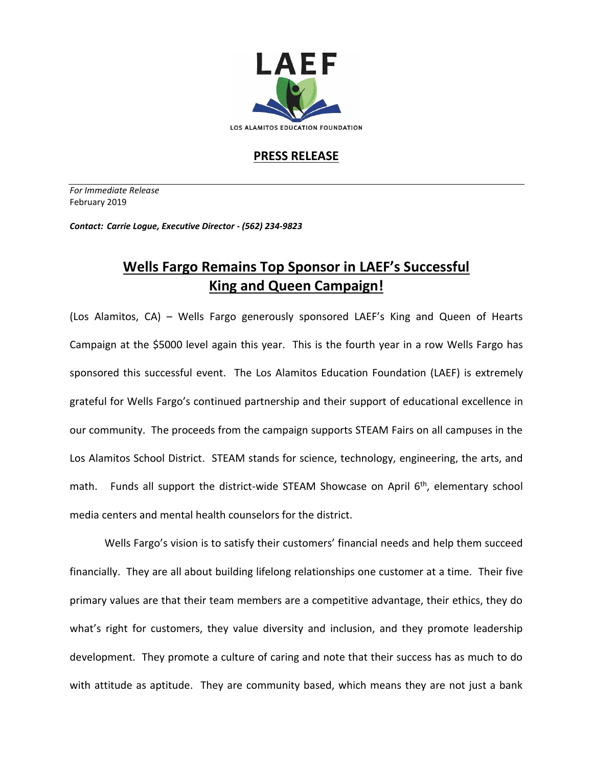

## **PRESS RELEASE**

*For Immediate Release*  February 2019

*Contact: Carrie Logue, Executive Director - (562) 234-9823*

## **Wells Fargo Remains Top Sponsor in LAEF's Successful King and Queen Campaign!**

(Los Alamitos, CA) – Wells Fargo generously sponsored LAEF's King and Queen of Hearts Campaign at the \$5000 level again this year. This is the fourth year in a row Wells Fargo has sponsored this successful event. The Los Alamitos Education Foundation (LAEF) is extremely grateful for Wells Fargo's continued partnership and their support of educational excellence in our community. The proceeds from the campaign supports STEAM Fairs on all campuses in the Los Alamitos School District. STEAM stands for science, technology, engineering, the arts, and math. Funds all support the district-wide STEAM Showcase on April 6<sup>th</sup>, elementary school media centers and mental health counselors for the district.

Wells Fargo's vision is to satisfy their customers' financial needs and help them succeed financially. They are all about building lifelong relationships one customer at a time. Their five primary values are that their team members are a competitive advantage, their ethics, they do what's right for customers, they value diversity and inclusion, and they promote leadership development. They promote a culture of caring and note that their success has as much to do with attitude as aptitude. They are community based, which means they are not just a bank